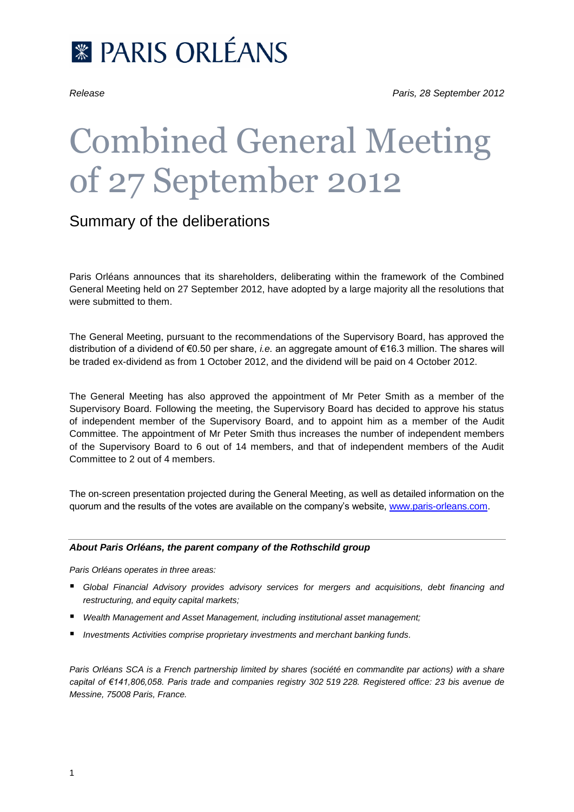

# Combined General Meeting of 27 September 2012

## Summary of the deliberations

Paris Orléans announces that its shareholders, deliberating within the framework of the Combined General Meeting held on 27 September 2012, have adopted by a large majority all the resolutions that were submitted to them.

The General Meeting, pursuant to the recommendations of the Supervisory Board, has approved the distribution of a dividend of €0.50 per share, *i.e.* an aggregate amount of €16.3 million. The shares will be traded ex-dividend as from 1 October 2012, and the dividend will be paid on 4 October 2012.

The General Meeting has also approved the appointment of Mr Peter Smith as a member of the Supervisory Board. Following the meeting, the Supervisory Board has decided to approve his status of independent member of the Supervisory Board, and to appoint him as a member of the Audit Committee. The appointment of Mr Peter Smith thus increases the number of independent members of the Supervisory Board to 6 out of 14 members, and that of independent members of the Audit Committee to 2 out of 4 members.

The on-screen presentation projected during the General Meeting, as well as detailed information on the quorum and the results of the votes are available on the company's website, [www.paris-orleans.com.](http://www.paris-orleans.com/)

#### *About Paris Orléans, the parent company of the Rothschild group*

*Paris Orléans operates in three areas:*

- *Global Financial Advisory provides advisory services for mergers and acquisitions, debt financing and restructuring, and equity capital markets;*
- *Wealth Management and Asset Management, including institutional asset management;*
- *Investments Activities comprise proprietary investments and merchant banking funds.*

*Paris Orléans SCA is a French partnership limited by shares (société en commandite par actions) with a share capital of €141,806,058. Paris trade and companies registry 302 519 228. Registered office: 23 bis avenue de Messine, 75008 Paris, France.*